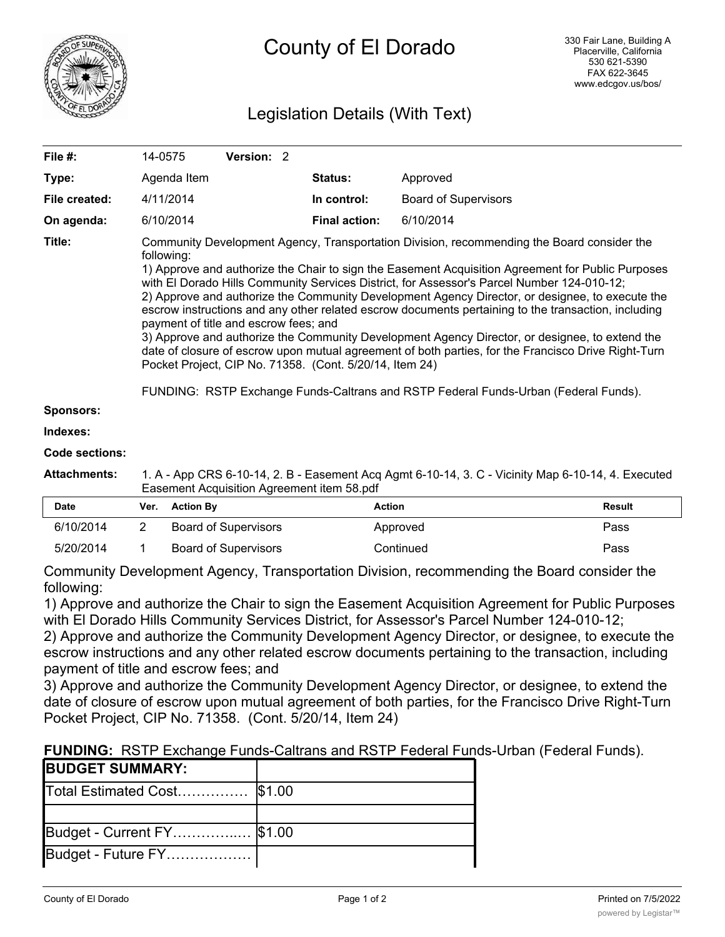

# Legislation Details (With Text)

| File $#$ :    | 14-0575                                                                                                                                                                                                                                                                                                                                                                                                                                                                                                                                                                                                                                                                                                                                                                                                                                                                                                                   | <b>Version: 2</b> |  |                      |                             |
|---------------|---------------------------------------------------------------------------------------------------------------------------------------------------------------------------------------------------------------------------------------------------------------------------------------------------------------------------------------------------------------------------------------------------------------------------------------------------------------------------------------------------------------------------------------------------------------------------------------------------------------------------------------------------------------------------------------------------------------------------------------------------------------------------------------------------------------------------------------------------------------------------------------------------------------------------|-------------------|--|----------------------|-----------------------------|
| Type:         | Agenda Item                                                                                                                                                                                                                                                                                                                                                                                                                                                                                                                                                                                                                                                                                                                                                                                                                                                                                                               |                   |  | <b>Status:</b>       | Approved                    |
| File created: | 4/11/2014                                                                                                                                                                                                                                                                                                                                                                                                                                                                                                                                                                                                                                                                                                                                                                                                                                                                                                                 |                   |  | In control:          | <b>Board of Supervisors</b> |
| On agenda:    | 6/10/2014                                                                                                                                                                                                                                                                                                                                                                                                                                                                                                                                                                                                                                                                                                                                                                                                                                                                                                                 |                   |  | <b>Final action:</b> | 6/10/2014                   |
| Title:        | Community Development Agency, Transportation Division, recommending the Board consider the<br>following:<br>1) Approve and authorize the Chair to sign the Easement Acquisition Agreement for Public Purposes<br>with El Dorado Hills Community Services District, for Assessor's Parcel Number 124-010-12;<br>2) Approve and authorize the Community Development Agency Director, or designee, to execute the<br>escrow instructions and any other related escrow documents pertaining to the transaction, including<br>payment of title and escrow fees; and<br>3) Approve and authorize the Community Development Agency Director, or designee, to extend the<br>date of closure of escrow upon mutual agreement of both parties, for the Francisco Drive Right-Turn<br>Pocket Project, CIP No. 71358. (Cont. 5/20/14, Item 24)<br>FUNDING: RSTP Exchange Funds-Caltrans and RSTP Federal Funds-Urban (Federal Funds). |                   |  |                      |                             |

**Sponsors:**

**Indexes:**

**Code sections:**

**Attachments:** 1. A - App CRS 6-10-14, 2. B - Easement Acq Agmt 6-10-14, 3. C - Vicinity Map 6-10-14, 4. Executed Easement Acquisition Agreement item 58.pdf

| <b>Date</b> | Ver. | <b>Action By</b>     | Action    | Result |
|-------------|------|----------------------|-----------|--------|
| 6/10/2014   |      | Board of Supervisors | Approved  | Pass   |
| 5/20/2014   |      | Board of Supervisors | Continued | Pass   |

Community Development Agency, Transportation Division, recommending the Board consider the following:

1) Approve and authorize the Chair to sign the Easement Acquisition Agreement for Public Purposes with El Dorado Hills Community Services District, for Assessor's Parcel Number 124-010-12;

2) Approve and authorize the Community Development Agency Director, or designee, to execute the escrow instructions and any other related escrow documents pertaining to the transaction, including payment of title and escrow fees; and

3) Approve and authorize the Community Development Agency Director, or designee, to extend the date of closure of escrow upon mutual agreement of both parties, for the Francisco Drive Right-Turn Pocket Project, CIP No. 71358. (Cont. 5/20/14, Item 24)

## **FUNDING:** RSTP Exchange Funds-Caltrans and RSTP Federal Funds-Urban (Federal Funds).

| <b>BUDGET SUMMARY:</b>            |  |
|-----------------------------------|--|
| Total Estimated Cost \$1.00       |  |
|                                   |  |
| <b>Budget - Current FY</b> \$1.00 |  |
| Budget - Future FY                |  |